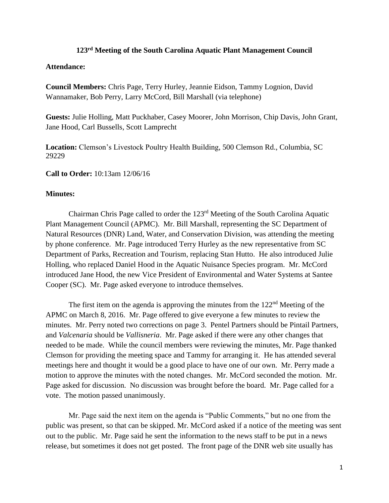## **123rd Meeting of the South Carolina Aquatic Plant Management Council**

## **Attendance:**

**Council Members:** Chris Page, Terry Hurley, Jeannie Eidson, Tammy Lognion, David Wannamaker, Bob Perry, Larry McCord, Bill Marshall (via telephone)

**Guests:** Julie Holling, Matt Puckhaber, Casey Moorer, John Morrison, Chip Davis, John Grant, Jane Hood, Carl Bussells, Scott Lamprecht

**Location:** Clemson's Livestock Poultry Health Building, 500 Clemson Rd., Columbia, SC 29229

**Call to Order:** 10:13am 12/06/16

## **Minutes:**

Chairman Chris Page called to order the 123rd Meeting of the South Carolina Aquatic Plant Management Council (APMC). Mr. Bill Marshall, representing the SC Department of Natural Resources (DNR) Land, Water, and Conservation Division, was attending the meeting by phone conference. Mr. Page introduced Terry Hurley as the new representative from SC Department of Parks, Recreation and Tourism, replacing Stan Hutto. He also introduced Julie Holling, who replaced Daniel Hood in the Aquatic Nuisance Species program. Mr. McCord introduced Jane Hood, the new Vice President of Environmental and Water Systems at Santee Cooper (SC). Mr. Page asked everyone to introduce themselves.

The first item on the agenda is approving the minutes from the  $122<sup>nd</sup>$  Meeting of the APMC on March 8, 2016. Mr. Page offered to give everyone a few minutes to review the minutes. Mr. Perry noted two corrections on page 3. Pentel Partners should be Pintail Partners, and *Valcenaria* should be *Vallisneria*. Mr. Page asked if there were any other changes that needed to be made. While the council members were reviewing the minutes, Mr. Page thanked Clemson for providing the meeting space and Tammy for arranging it. He has attended several meetings here and thought it would be a good place to have one of our own. Mr. Perry made a motion to approve the minutes with the noted changes. Mr. McCord seconded the motion. Mr. Page asked for discussion. No discussion was brought before the board. Mr. Page called for a vote. The motion passed unanimously.

Mr. Page said the next item on the agenda is "Public Comments," but no one from the public was present, so that can be skipped. Mr. McCord asked if a notice of the meeting was sent out to the public. Mr. Page said he sent the information to the news staff to be put in a news release, but sometimes it does not get posted. The front page of the DNR web site usually has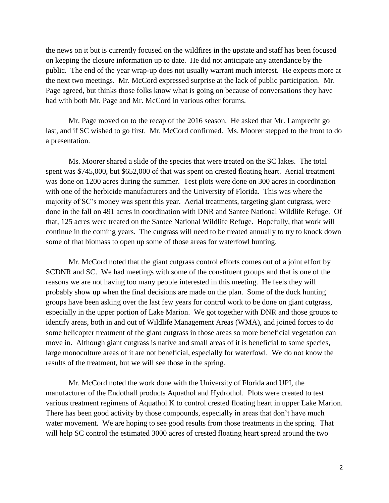the news on it but is currently focused on the wildfires in the upstate and staff has been focused on keeping the closure information up to date. He did not anticipate any attendance by the public. The end of the year wrap-up does not usually warrant much interest. He expects more at the next two meetings. Mr. McCord expressed surprise at the lack of public participation. Mr. Page agreed, but thinks those folks know what is going on because of conversations they have had with both Mr. Page and Mr. McCord in various other forums.

Mr. Page moved on to the recap of the 2016 season. He asked that Mr. Lamprecht go last, and if SC wished to go first. Mr. McCord confirmed. Ms. Moorer stepped to the front to do a presentation.

Ms. Moorer shared a slide of the species that were treated on the SC lakes. The total spent was \$745,000, but \$652,000 of that was spent on crested floating heart. Aerial treatment was done on 1200 acres during the summer. Test plots were done on 300 acres in coordination with one of the herbicide manufacturers and the University of Florida. This was where the majority of SC's money was spent this year. Aerial treatments, targeting giant cutgrass, were done in the fall on 491 acres in coordination with DNR and Santee National Wildlife Refuge. Of that, 125 acres were treated on the Santee National Wildlife Refuge. Hopefully, that work will continue in the coming years. The cutgrass will need to be treated annually to try to knock down some of that biomass to open up some of those areas for waterfowl hunting.

Mr. McCord noted that the giant cutgrass control efforts comes out of a joint effort by SCDNR and SC. We had meetings with some of the constituent groups and that is one of the reasons we are not having too many people interested in this meeting. He feels they will probably show up when the final decisions are made on the plan. Some of the duck hunting groups have been asking over the last few years for control work to be done on giant cutgrass, especially in the upper portion of Lake Marion. We got together with DNR and those groups to identify areas, both in and out of Wildlife Management Areas (WMA), and joined forces to do some helicopter treatment of the giant cutgrass in those areas so more beneficial vegetation can move in. Although giant cutgrass is native and small areas of it is beneficial to some species, large monoculture areas of it are not beneficial, especially for waterfowl. We do not know the results of the treatment, but we will see those in the spring.

Mr. McCord noted the work done with the University of Florida and UPI, the manufacturer of the Endothall products Aquathol and Hydrothol. Plots were created to test various treatment regimens of Aquathol K to control crested floating heart in upper Lake Marion. There has been good activity by those compounds, especially in areas that don't have much water movement. We are hoping to see good results from those treatments in the spring. That will help SC control the estimated 3000 acres of crested floating heart spread around the two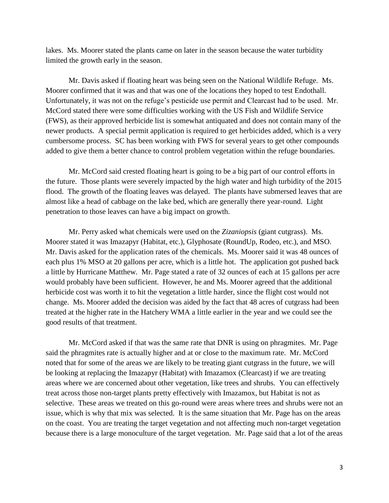lakes. Ms. Moorer stated the plants came on later in the season because the water turbidity limited the growth early in the season.

Mr. Davis asked if floating heart was being seen on the National Wildlife Refuge. Ms. Moorer confirmed that it was and that was one of the locations they hoped to test Endothall. Unfortunately, it was not on the refuge's pesticide use permit and Clearcast had to be used. Mr. McCord stated there were some difficulties working with the US Fish and Wildlife Service (FWS), as their approved herbicide list is somewhat antiquated and does not contain many of the newer products. A special permit application is required to get herbicides added, which is a very cumbersome process. SC has been working with FWS for several years to get other compounds added to give them a better chance to control problem vegetation within the refuge boundaries.

Mr. McCord said crested floating heart is going to be a big part of our control efforts in the future. Those plants were severely impacted by the high water and high turbidity of the 2015 flood. The growth of the floating leaves was delayed. The plants have submersed leaves that are almost like a head of cabbage on the lake bed, which are generally there year-round. Light penetration to those leaves can have a big impact on growth.

Mr. Perry asked what chemicals were used on the *Zizaniopsis* (giant cutgrass). Ms. Moorer stated it was Imazapyr (Habitat, etc.), Glyphosate (RoundUp, Rodeo, etc.), and MSO. Mr. Davis asked for the application rates of the chemicals. Ms. Moorer said it was 48 ounces of each plus 1% MSO at 20 gallons per acre, which is a little hot. The application got pushed back a little by Hurricane Matthew. Mr. Page stated a rate of 32 ounces of each at 15 gallons per acre would probably have been sufficient. However, he and Ms. Moorer agreed that the additional herbicide cost was worth it to hit the vegetation a little harder, since the flight cost would not change. Ms. Moorer added the decision was aided by the fact that 48 acres of cutgrass had been treated at the higher rate in the Hatchery WMA a little earlier in the year and we could see the good results of that treatment.

Mr. McCord asked if that was the same rate that DNR is using on phragmites. Mr. Page said the phragmites rate is actually higher and at or close to the maximum rate. Mr. McCord noted that for some of the areas we are likely to be treating giant cutgrass in the future, we will be looking at replacing the Imazapyr (Habitat) with Imazamox (Clearcast) if we are treating areas where we are concerned about other vegetation, like trees and shrubs. You can effectively treat across those non-target plants pretty effectively with Imazamox, but Habitat is not as selective. These areas we treated on this go-round were areas where trees and shrubs were not an issue, which is why that mix was selected. It is the same situation that Mr. Page has on the areas on the coast. You are treating the target vegetation and not affecting much non-target vegetation because there is a large monoculture of the target vegetation. Mr. Page said that a lot of the areas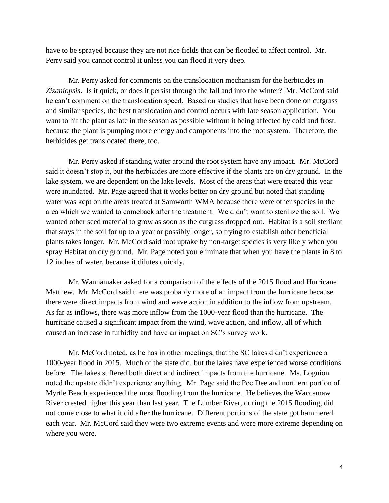have to be sprayed because they are not rice fields that can be flooded to affect control. Mr. Perry said you cannot control it unless you can flood it very deep.

Mr. Perry asked for comments on the translocation mechanism for the herbicides in *Zizaniopsis*. Is it quick, or does it persist through the fall and into the winter? Mr. McCord said he can't comment on the translocation speed. Based on studies that have been done on cutgrass and similar species, the best translocation and control occurs with late season application. You want to hit the plant as late in the season as possible without it being affected by cold and frost, because the plant is pumping more energy and components into the root system. Therefore, the herbicides get translocated there, too.

Mr. Perry asked if standing water around the root system have any impact. Mr. McCord said it doesn't stop it, but the herbicides are more effective if the plants are on dry ground. In the lake system, we are dependent on the lake levels. Most of the areas that were treated this year were inundated. Mr. Page agreed that it works better on dry ground but noted that standing water was kept on the areas treated at Samworth WMA because there were other species in the area which we wanted to comeback after the treatment. We didn't want to sterilize the soil. We wanted other seed material to grow as soon as the cutgrass dropped out. Habitat is a soil sterilant that stays in the soil for up to a year or possibly longer, so trying to establish other beneficial plants takes longer. Mr. McCord said root uptake by non-target species is very likely when you spray Habitat on dry ground. Mr. Page noted you eliminate that when you have the plants in 8 to 12 inches of water, because it dilutes quickly.

Mr. Wannamaker asked for a comparison of the effects of the 2015 flood and Hurricane Matthew. Mr. McCord said there was probably more of an impact from the hurricane because there were direct impacts from wind and wave action in addition to the inflow from upstream. As far as inflows, there was more inflow from the 1000-year flood than the hurricane. The hurricane caused a significant impact from the wind, wave action, and inflow, all of which caused an increase in turbidity and have an impact on SC's survey work.

Mr. McCord noted, as he has in other meetings, that the SC lakes didn't experience a 1000-year flood in 2015. Much of the state did, but the lakes have experienced worse conditions before. The lakes suffered both direct and indirect impacts from the hurricane. Ms. Lognion noted the upstate didn't experience anything. Mr. Page said the Pee Dee and northern portion of Myrtle Beach experienced the most flooding from the hurricane. He believes the Waccamaw River crested higher this year than last year. The Lumber River, during the 2015 flooding, did not come close to what it did after the hurricane. Different portions of the state got hammered each year. Mr. McCord said they were two extreme events and were more extreme depending on where you were.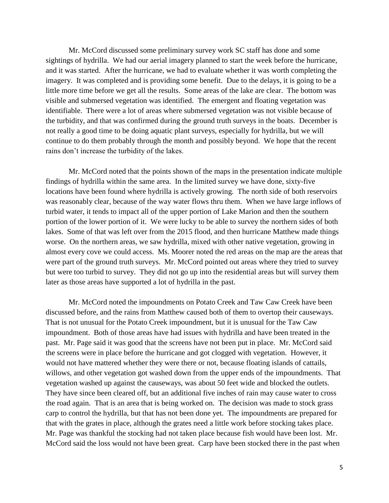Mr. McCord discussed some preliminary survey work SC staff has done and some sightings of hydrilla. We had our aerial imagery planned to start the week before the hurricane, and it was started. After the hurricane, we had to evaluate whether it was worth completing the imagery. It was completed and is providing some benefit. Due to the delays, it is going to be a little more time before we get all the results. Some areas of the lake are clear. The bottom was visible and submersed vegetation was identified. The emergent and floating vegetation was identifiable. There were a lot of areas where submersed vegetation was not visible because of the turbidity, and that was confirmed during the ground truth surveys in the boats. December is not really a good time to be doing aquatic plant surveys, especially for hydrilla, but we will continue to do them probably through the month and possibly beyond. We hope that the recent rains don't increase the turbidity of the lakes.

Mr. McCord noted that the points shown of the maps in the presentation indicate multiple findings of hydrilla within the same area. In the limited survey we have done, sixty-five locations have been found where hydrilla is actively growing. The north side of both reservoirs was reasonably clear, because of the way water flows thru them. When we have large inflows of turbid water, it tends to impact all of the upper portion of Lake Marion and then the southern portion of the lower portion of it. We were lucky to be able to survey the northern sides of both lakes. Some of that was left over from the 2015 flood, and then hurricane Matthew made things worse. On the northern areas, we saw hydrilla, mixed with other native vegetation, growing in almost every cove we could access. Ms. Moorer noted the red areas on the map are the areas that were part of the ground truth surveys. Mr. McCord pointed out areas where they tried to survey but were too turbid to survey. They did not go up into the residential areas but will survey them later as those areas have supported a lot of hydrilla in the past.

Mr. McCord noted the impoundments on Potato Creek and Taw Caw Creek have been discussed before, and the rains from Matthew caused both of them to overtop their causeways. That is not unusual for the Potato Creek impoundment, but it is unusual for the Taw Caw impoundment. Both of those areas have had issues with hydrilla and have been treated in the past. Mr. Page said it was good that the screens have not been put in place. Mr. McCord said the screens were in place before the hurricane and got clogged with vegetation. However, it would not have mattered whether they were there or not, because floating islands of cattails, willows, and other vegetation got washed down from the upper ends of the impoundments. That vegetation washed up against the causeways, was about 50 feet wide and blocked the outlets. They have since been cleared off, but an additional five inches of rain may cause water to cross the road again. That is an area that is being worked on. The decision was made to stock grass carp to control the hydrilla, but that has not been done yet. The impoundments are prepared for that with the grates in place, although the grates need a little work before stocking takes place. Mr. Page was thankful the stocking had not taken place because fish would have been lost. Mr. McCord said the loss would not have been great. Carp have been stocked there in the past when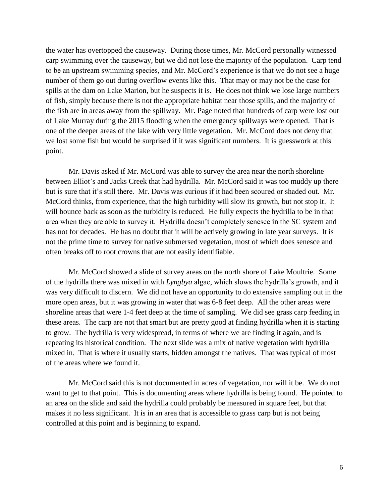the water has overtopped the causeway. During those times, Mr. McCord personally witnessed carp swimming over the causeway, but we did not lose the majority of the population. Carp tend to be an upstream swimming species, and Mr. McCord's experience is that we do not see a huge number of them go out during overflow events like this. That may or may not be the case for spills at the dam on Lake Marion, but he suspects it is. He does not think we lose large numbers of fish, simply because there is not the appropriate habitat near those spills, and the majority of the fish are in areas away from the spillway. Mr. Page noted that hundreds of carp were lost out of Lake Murray during the 2015 flooding when the emergency spillways were opened. That is one of the deeper areas of the lake with very little vegetation. Mr. McCord does not deny that we lost some fish but would be surprised if it was significant numbers. It is guesswork at this point.

Mr. Davis asked if Mr. McCord was able to survey the area near the north shoreline between Elliot's and Jacks Creek that had hydrilla. Mr. McCord said it was too muddy up there but is sure that it's still there. Mr. Davis was curious if it had been scoured or shaded out. Mr. McCord thinks, from experience, that the high turbidity will slow its growth, but not stop it. It will bounce back as soon as the turbidity is reduced. He fully expects the hydrilla to be in that area when they are able to survey it. Hydrilla doesn't completely senesce in the SC system and has not for decades. He has no doubt that it will be actively growing in late year surveys. It is not the prime time to survey for native submersed vegetation, most of which does senesce and often breaks off to root crowns that are not easily identifiable.

Mr. McCord showed a slide of survey areas on the north shore of Lake Moultrie. Some of the hydrilla there was mixed in with *Lyngbya* algae, which slows the hydrilla's growth, and it was very difficult to discern. We did not have an opportunity to do extensive sampling out in the more open areas, but it was growing in water that was 6-8 feet deep. All the other areas were shoreline areas that were 1-4 feet deep at the time of sampling. We did see grass carp feeding in these areas. The carp are not that smart but are pretty good at finding hydrilla when it is starting to grow. The hydrilla is very widespread, in terms of where we are finding it again, and is repeating its historical condition. The next slide was a mix of native vegetation with hydrilla mixed in. That is where it usually starts, hidden amongst the natives. That was typical of most of the areas where we found it.

Mr. McCord said this is not documented in acres of vegetation, nor will it be. We do not want to get to that point. This is documenting areas where hydrilla is being found. He pointed to an area on the slide and said the hydrilla could probably be measured in square feet, but that makes it no less significant. It is in an area that is accessible to grass carp but is not being controlled at this point and is beginning to expand.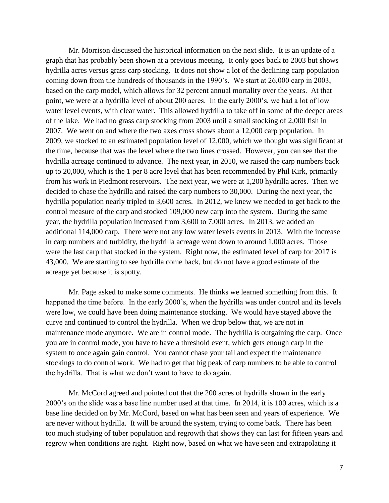Mr. Morrison discussed the historical information on the next slide. It is an update of a graph that has probably been shown at a previous meeting. It only goes back to 2003 but shows hydrilla acres versus grass carp stocking. It does not show a lot of the declining carp population coming down from the hundreds of thousands in the 1990's. We start at 26,000 carp in 2003, based on the carp model, which allows for 32 percent annual mortality over the years. At that point, we were at a hydrilla level of about 200 acres. In the early 2000's, we had a lot of low water level events, with clear water. This allowed hydrilla to take off in some of the deeper areas of the lake. We had no grass carp stocking from 2003 until a small stocking of 2,000 fish in 2007. We went on and where the two axes cross shows about a 12,000 carp population. In 2009, we stocked to an estimated population level of 12,000, which we thought was significant at the time, because that was the level where the two lines crossed. However, you can see that the hydrilla acreage continued to advance. The next year, in 2010, we raised the carp numbers back up to 20,000, which is the 1 per 8 acre level that has been recommended by Phil Kirk, primarily from his work in Piedmont reservoirs. The next year, we were at 1,200 hydrilla acres. Then we decided to chase the hydrilla and raised the carp numbers to 30,000. During the next year, the hydrilla population nearly tripled to 3,600 acres. In 2012, we knew we needed to get back to the control measure of the carp and stocked 109,000 new carp into the system. During the same year, the hydrilla population increased from 3,600 to 7,000 acres. In 2013, we added an additional 114,000 carp. There were not any low water levels events in 2013. With the increase in carp numbers and turbidity, the hydrilla acreage went down to around 1,000 acres. Those were the last carp that stocked in the system. Right now, the estimated level of carp for 2017 is 43,000. We are starting to see hydrilla come back, but do not have a good estimate of the acreage yet because it is spotty.

Mr. Page asked to make some comments. He thinks we learned something from this. It happened the time before. In the early 2000's, when the hydrilla was under control and its levels were low, we could have been doing maintenance stocking. We would have stayed above the curve and continued to control the hydrilla. When we drop below that, we are not in maintenance mode anymore. We are in control mode. The hydrilla is outgaining the carp. Once you are in control mode, you have to have a threshold event, which gets enough carp in the system to once again gain control. You cannot chase your tail and expect the maintenance stockings to do control work. We had to get that big peak of carp numbers to be able to control the hydrilla. That is what we don't want to have to do again.

Mr. McCord agreed and pointed out that the 200 acres of hydrilla shown in the early 2000's on the slide was a base line number used at that time. In 2014, it is 100 acres, which is a base line decided on by Mr. McCord, based on what has been seen and years of experience. We are never without hydrilla. It will be around the system, trying to come back. There has been too much studying of tuber population and regrowth that shows they can last for fifteen years and regrow when conditions are right. Right now, based on what we have seen and extrapolating it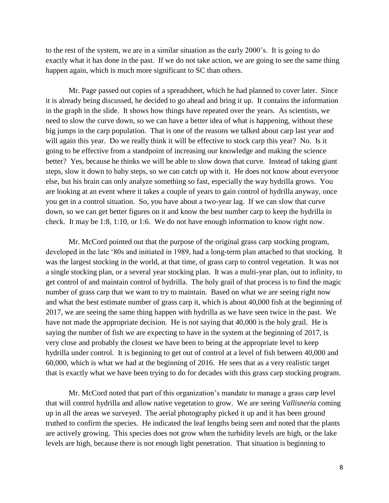to the rest of the system, we are in a similar situation as the early 2000's. It is going to do exactly what it has done in the past. If we do not take action, we are going to see the same thing happen again, which is much more significant to SC than others.

Mr. Page passed out copies of a spreadsheet, which he had planned to cover later. Since it is already being discussed, he decided to go ahead and bring it up. It contains the information in the graph in the slide. It shows how things have repeated over the years. As scientists, we need to slow the curve down, so we can have a better idea of what is happening, without these big jumps in the carp population. That is one of the reasons we talked about carp last year and will again this year. Do we really think it will be effective to stock carp this year? No. Is it going to be effective from a standpoint of increasing our knowledge and making the science better? Yes, because he thinks we will be able to slow down that curve. Instead of taking giant steps, slow it down to baby steps, so we can catch up with it. He does not know about everyone else, but his brain can only analyze something so fast, especially the way hydrilla grows. You are looking at an event where it takes a couple of years to gain control of hydrilla anyway, once you get in a control situation. So, you have about a two-year lag. If we can slow that curve down, so we can get better figures on it and know the best number carp to keep the hydrilla in check. It may be 1:8, 1:10, or 1:6. We do not have enough information to know right now.

Mr. McCord pointed out that the purpose of the original grass carp stocking program, developed in the late '80s and initiated in 1989, had a long-term plan attached to that stocking. It was the largest stocking in the world, at that time, of grass carp to control vegetation. It was not a single stocking plan, or a several year stocking plan. It was a multi-year plan, out to infinity, to get control of and maintain control of hydrilla. The holy grail of that process is to find the magic number of grass carp that we want to try to maintain. Based on what we are seeing right now and what the best estimate number of grass carp it, which is about 40,000 fish at the beginning of 2017, we are seeing the same thing happen with hydrilla as we have seen twice in the past. We have not made the appropriate decision. He is not saying that 40,000 is the holy grail. He is saying the number of fish we are expecting to have in the system at the beginning of 2017, is very close and probably the closest we have been to being at the appropriate level to keep hydrilla under control. It is beginning to get out of control at a level of fish between 40,000 and 60,000, which is what we had at the beginning of 2016. He sees that as a very realistic target that is exactly what we have been trying to do for decades with this grass carp stocking program.

Mr. McCord noted that part of this organization's mandate to manage a grass carp level that will control hydrilla and allow native vegetation to grow. We are seeing *Vallisneria* coming up in all the areas we surveyed. The aerial photography picked it up and it has been ground truthed to confirm the species. He indicated the leaf lengths being seen and noted that the plants are actively growing. This species does not grow when the turbidity levels are high, or the lake levels are high, because there is not enough light penetration. That situation is beginning to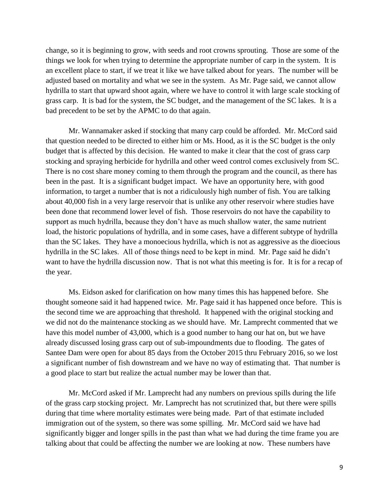change, so it is beginning to grow, with seeds and root crowns sprouting. Those are some of the things we look for when trying to determine the appropriate number of carp in the system. It is an excellent place to start, if we treat it like we have talked about for years. The number will be adjusted based on mortality and what we see in the system. As Mr. Page said, we cannot allow hydrilla to start that upward shoot again, where we have to control it with large scale stocking of grass carp. It is bad for the system, the SC budget, and the management of the SC lakes. It is a bad precedent to be set by the APMC to do that again.

Mr. Wannamaker asked if stocking that many carp could be afforded. Mr. McCord said that question needed to be directed to either him or Ms. Hood, as it is the SC budget is the only budget that is affected by this decision. He wanted to make it clear that the cost of grass carp stocking and spraying herbicide for hydrilla and other weed control comes exclusively from SC. There is no cost share money coming to them through the program and the council, as there has been in the past. It is a significant budget impact. We have an opportunity here, with good information, to target a number that is not a ridiculously high number of fish. You are talking about 40,000 fish in a very large reservoir that is unlike any other reservoir where studies have been done that recommend lower level of fish. Those reservoirs do not have the capability to support as much hydrilla, because they don't have as much shallow water, the same nutrient load, the historic populations of hydrilla, and in some cases, have a different subtype of hydrilla than the SC lakes. They have a monoecious hydrilla, which is not as aggressive as the dioecious hydrilla in the SC lakes. All of those things need to be kept in mind. Mr. Page said he didn't want to have the hydrilla discussion now. That is not what this meeting is for. It is for a recap of the year.

Ms. Eidson asked for clarification on how many times this has happened before. She thought someone said it had happened twice. Mr. Page said it has happened once before. This is the second time we are approaching that threshold. It happened with the original stocking and we did not do the maintenance stocking as we should have. Mr. Lamprecht commented that we have this model number of 43,000, which is a good number to hang our hat on, but we have already discussed losing grass carp out of sub-impoundments due to flooding. The gates of Santee Dam were open for about 85 days from the October 2015 thru February 2016, so we lost a significant number of fish downstream and we have no way of estimating that. That number is a good place to start but realize the actual number may be lower than that.

Mr. McCord asked if Mr. Lamprecht had any numbers on previous spills during the life of the grass carp stocking project. Mr. Lamprecht has not scrutinized that, but there were spills during that time where mortality estimates were being made. Part of that estimate included immigration out of the system, so there was some spilling. Mr. McCord said we have had significantly bigger and longer spills in the past than what we had during the time frame you are talking about that could be affecting the number we are looking at now. These numbers have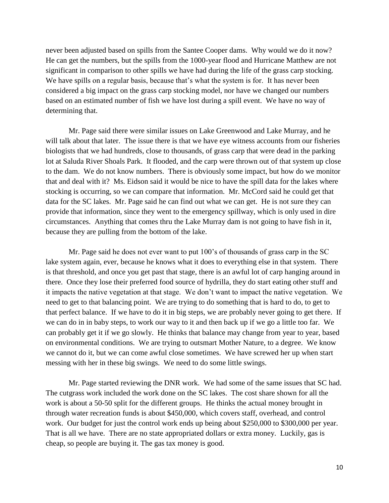never been adjusted based on spills from the Santee Cooper dams. Why would we do it now? He can get the numbers, but the spills from the 1000-year flood and Hurricane Matthew are not significant in comparison to other spills we have had during the life of the grass carp stocking. We have spills on a regular basis, because that's what the system is for. It has never been considered a big impact on the grass carp stocking model, nor have we changed our numbers based on an estimated number of fish we have lost during a spill event. We have no way of determining that.

Mr. Page said there were similar issues on Lake Greenwood and Lake Murray, and he will talk about that later. The issue there is that we have eye witness accounts from our fisheries biologists that we had hundreds, close to thousands, of grass carp that were dead in the parking lot at Saluda River Shoals Park. It flooded, and the carp were thrown out of that system up close to the dam. We do not know numbers. There is obviously some impact, but how do we monitor that and deal with it? Ms. Eidson said it would be nice to have the spill data for the lakes where stocking is occurring, so we can compare that information. Mr. McCord said he could get that data for the SC lakes. Mr. Page said he can find out what we can get. He is not sure they can provide that information, since they went to the emergency spillway, which is only used in dire circumstances. Anything that comes thru the Lake Murray dam is not going to have fish in it, because they are pulling from the bottom of the lake.

Mr. Page said he does not ever want to put 100's of thousands of grass carp in the SC lake system again, ever, because he knows what it does to everything else in that system. There is that threshold, and once you get past that stage, there is an awful lot of carp hanging around in there. Once they lose their preferred food source of hydrilla, they do start eating other stuff and it impacts the native vegetation at that stage. We don't want to impact the native vegetation. We need to get to that balancing point. We are trying to do something that is hard to do, to get to that perfect balance. If we have to do it in big steps, we are probably never going to get there. If we can do in in baby steps, to work our way to it and then back up if we go a little too far. We can probably get it if we go slowly. He thinks that balance may change from year to year, based on environmental conditions. We are trying to outsmart Mother Nature, to a degree. We know we cannot do it, but we can come awful close sometimes. We have screwed her up when start messing with her in these big swings. We need to do some little swings.

Mr. Page started reviewing the DNR work. We had some of the same issues that SC had. The cutgrass work included the work done on the SC lakes. The cost share shown for all the work is about a 50-50 split for the different groups. He thinks the actual money brought in through water recreation funds is about \$450,000, which covers staff, overhead, and control work. Our budget for just the control work ends up being about \$250,000 to \$300,000 per year. That is all we have. There are no state appropriated dollars or extra money. Luckily, gas is cheap, so people are buying it. The gas tax money is good.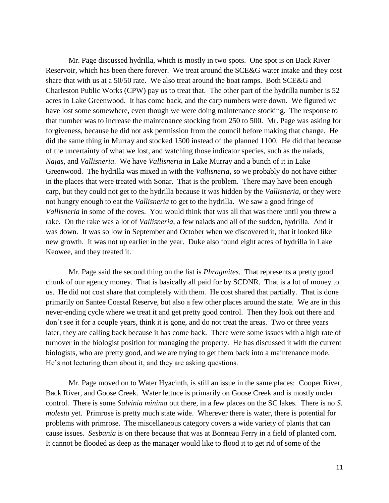Mr. Page discussed hydrilla, which is mostly in two spots. One spot is on Back River Reservoir, which has been there forever. We treat around the SCE&G water intake and they cost share that with us at a 50/50 rate. We also treat around the boat ramps. Both SCE&G and Charleston Public Works (CPW) pay us to treat that. The other part of the hydrilla number is 52 acres in Lake Greenwood. It has come back, and the carp numbers were down. We figured we have lost some somewhere, even though we were doing maintenance stocking. The response to that number was to increase the maintenance stocking from 250 to 500. Mr. Page was asking for forgiveness, because he did not ask permission from the council before making that change. He did the same thing in Murray and stocked 1500 instead of the planned 1100. He did that because of the uncertainty of what we lost, and watching those indicator species, such as the naiads, *Najas*, and *Vallisneria*. We have *Vallisneria* in Lake Murray and a bunch of it in Lake Greenwood. The hydrilla was mixed in with the *Vallisneria*, so we probably do not have either in the places that were treated with Sonar. That is the problem. There may have been enough carp, but they could not get to the hydrilla because it was hidden by the *Vallisneria*, or they were not hungry enough to eat the *Vallisneria* to get to the hydrilla. We saw a good fringe of *Vallisneria* in some of the coves. You would think that was all that was there until you threw a rake. On the rake was a lot of *Vallisneria*, a few naiads and all of the sudden, hydrilla. And it was down. It was so low in September and October when we discovered it, that it looked like new growth. It was not up earlier in the year. Duke also found eight acres of hydrilla in Lake Keowee, and they treated it.

Mr. Page said the second thing on the list is *Phragmites*. That represents a pretty good chunk of our agency money. That is basically all paid for by SCDNR. That is a lot of money to us. He did not cost share that completely with them. He cost shared that partially. That is done primarily on Santee Coastal Reserve, but also a few other places around the state. We are in this never-ending cycle where we treat it and get pretty good control. Then they look out there and don't see it for a couple years, think it is gone, and do not treat the areas. Two or three years later, they are calling back because it has come back. There were some issues with a high rate of turnover in the biologist position for managing the property. He has discussed it with the current biologists, who are pretty good, and we are trying to get them back into a maintenance mode. He's not lecturing them about it, and they are asking questions.

Mr. Page moved on to Water Hyacinth, is still an issue in the same places: Cooper River, Back River, and Goose Creek. Water lettuce is primarily on Goose Creek and is mostly under control. There is some *Salvinia minima* out there, in a few places on the SC lakes. There is no *S. molesta* yet. Primrose is pretty much state wide. Wherever there is water, there is potential for problems with primrose. The miscellaneous category covers a wide variety of plants that can cause issues. *Sesbania* is on there because that was at Bonneau Ferry in a field of planted corn. It cannot be flooded as deep as the manager would like to flood it to get rid of some of the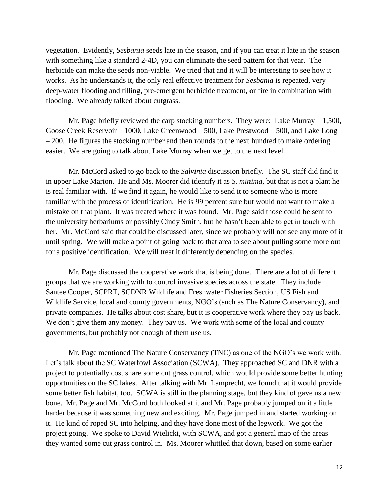vegetation. Evidently, *Sesbania* seeds late in the season, and if you can treat it late in the season with something like a standard 2-4D, you can eliminate the seed pattern for that year. The herbicide can make the seeds non-viable. We tried that and it will be interesting to see how it works. As he understands it, the only real effective treatment for *Sesbania* is repeated, very deep-water flooding and tilling, pre-emergent herbicide treatment, or fire in combination with flooding. We already talked about cutgrass.

Mr. Page briefly reviewed the carp stocking numbers. They were: Lake Murray – 1,500, Goose Creek Reservoir – 1000, Lake Greenwood – 500, Lake Prestwood – 500, and Lake Long – 200. He figures the stocking number and then rounds to the next hundred to make ordering easier. We are going to talk about Lake Murray when we get to the next level.

Mr. McCord asked to go back to the *Salvinia* discussion briefly. The SC staff did find it in upper Lake Marion. He and Ms. Moorer did identify it as *S. minima*, but that is not a plant he is real familiar with. If we find it again, he would like to send it to someone who is more familiar with the process of identification. He is 99 percent sure but would not want to make a mistake on that plant. It was treated where it was found. Mr. Page said those could be sent to the university herbariums or possibly Cindy Smith, but he hasn't been able to get in touch with her. Mr. McCord said that could be discussed later, since we probably will not see any more of it until spring. We will make a point of going back to that area to see about pulling some more out for a positive identification. We will treat it differently depending on the species.

Mr. Page discussed the cooperative work that is being done. There are a lot of different groups that we are working with to control invasive species across the state. They include Santee Cooper, SCPRT, SCDNR Wildlife and Freshwater Fisheries Section, US Fish and Wildlife Service, local and county governments, NGO's (such as The Nature Conservancy), and private companies. He talks about cost share, but it is cooperative work where they pay us back. We don't give them any money. They pay us. We work with some of the local and county governments, but probably not enough of them use us.

Mr. Page mentioned The Nature Conservancy (TNC) as one of the NGO's we work with. Let's talk about the SC Waterfowl Association (SCWA). They approached SC and DNR with a project to potentially cost share some cut grass control, which would provide some better hunting opportunities on the SC lakes. After talking with Mr. Lamprecht, we found that it would provide some better fish habitat, too. SCWA is still in the planning stage, but they kind of gave us a new bone. Mr. Page and Mr. McCord both looked at it and Mr. Page probably jumped on it a little harder because it was something new and exciting. Mr. Page jumped in and started working on it. He kind of roped SC into helping, and they have done most of the legwork. We got the project going. We spoke to David Wielicki, with SCWA, and got a general map of the areas they wanted some cut grass control in. Ms. Moorer whittled that down, based on some earlier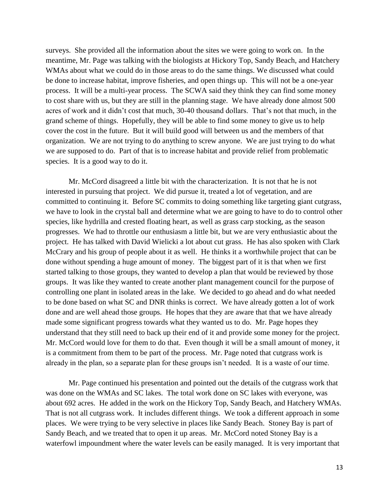surveys. She provided all the information about the sites we were going to work on. In the meantime, Mr. Page was talking with the biologists at Hickory Top, Sandy Beach, and Hatchery WMAs about what we could do in those areas to do the same things. We discussed what could be done to increase habitat, improve fisheries, and open things up. This will not be a one-year process. It will be a multi-year process. The SCWA said they think they can find some money to cost share with us, but they are still in the planning stage. We have already done almost 500 acres of work and it didn't cost that much, 30-40 thousand dollars. That's not that much, in the grand scheme of things. Hopefully, they will be able to find some money to give us to help cover the cost in the future. But it will build good will between us and the members of that organization. We are not trying to do anything to screw anyone. We are just trying to do what we are supposed to do. Part of that is to increase habitat and provide relief from problematic species. It is a good way to do it.

Mr. McCord disagreed a little bit with the characterization. It is not that he is not interested in pursuing that project. We did pursue it, treated a lot of vegetation, and are committed to continuing it. Before SC commits to doing something like targeting giant cutgrass, we have to look in the crystal ball and determine what we are going to have to do to control other species, like hydrilla and crested floating heart, as well as grass carp stocking, as the season progresses. We had to throttle our enthusiasm a little bit, but we are very enthusiastic about the project. He has talked with David Wielicki a lot about cut grass. He has also spoken with Clark McCrary and his group of people about it as well. He thinks it a worthwhile project that can be done without spending a huge amount of money. The biggest part of it is that when we first started talking to those groups, they wanted to develop a plan that would be reviewed by those groups. It was like they wanted to create another plant management council for the purpose of controlling one plant in isolated areas in the lake. We decided to go ahead and do what needed to be done based on what SC and DNR thinks is correct. We have already gotten a lot of work done and are well ahead those groups. He hopes that they are aware that that we have already made some significant progress towards what they wanted us to do. Mr. Page hopes they understand that they still need to back up their end of it and provide some money for the project. Mr. McCord would love for them to do that. Even though it will be a small amount of money, it is a commitment from them to be part of the process. Mr. Page noted that cutgrass work is already in the plan, so a separate plan for these groups isn't needed. It is a waste of our time.

Mr. Page continued his presentation and pointed out the details of the cutgrass work that was done on the WMAs and SC lakes. The total work done on SC lakes with everyone, was about 692 acres. He added in the work on the Hickory Top, Sandy Beach, and Hatchery WMAs. That is not all cutgrass work. It includes different things. We took a different approach in some places. We were trying to be very selective in places like Sandy Beach. Stoney Bay is part of Sandy Beach, and we treated that to open it up areas. Mr. McCord noted Stoney Bay is a waterfowl impoundment where the water levels can be easily managed. It is very important that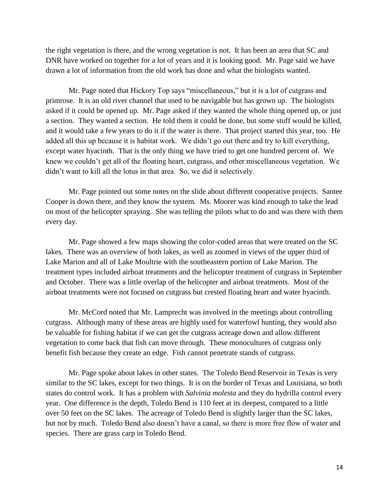the right vegetation is there, and the wrong vegetation is not. It has been an area that SC and DNR have worked on together for a lot of years and it is looking good. Mr. Page said we have drawn a lot of information from the old work has done and what the biologists wanted.

Mr. Page noted that Hickory Top says "miscellaneous," but it is a lot of cutgrass and primrose. It is an old river channel that used to be navigable but has grown up. The biologists asked if it could be opened up. Mr. Page asked if they wanted the whole thing opened up, or just a section. They wanted a section. He told them it could be done, but some stuff would be killed, and it would take a few years to do it if the water is there. That project started this year, too. He added all this up because it is habitat work. We didn't go out there and try to kill everything, except water hyacinth. That is the only thing we have tried to get one hundred percent of. We knew we couldn't get all of the floating heart, cutgrass, and other miscellaneous vegetation. We didn't want to kill all the lotus in that area. So, we did it selectively.

Mr. Page pointed out some notes on the slide about different cooperative projects. Santee Cooper is down there, and they know the system. Ms. Moorer was kind enough to take the lead on most of the helicopter spraying. She was telling the pilots what to do and was there with them every day.

Mr. Page showed a few maps showing the color-coded areas that were treated on the SC lakes. There was an overview of both lakes, as well as zoomed in views of the upper third of Lake Marion and all of Lake Moultrie with the southeastern portion of Lake Marion. The treatment types included airboat treatments and the helicopter treatment of cutgrass in September and October. There was a little overlap of the helicopter and airboat treatments. Most of the airboat treatments were not focused on cutgrass but crested floating heart and water hyacinth.

Mr. McCord noted that Mr. Lamprecht was involved in the meetings about controlling cutgrass. Although many of these areas are highly used for waterfowl hunting, they would also be valuable for fishing habitat if we can get the cutgrass acreage down and allow different vegetation to come back that fish can move through. These monocultures of cutgrass only benefit fish because they create an edge. Fish cannot penetrate stands of cutgrass.

Mr. Page spoke about lakes in other states. The Toledo Bend Reservoir in Texas is very similar to the SC lakes, except for two things. It is on the border of Texas and Louisiana, so both states do control work. It has a problem with *Salvinia molesta* and they do hydrilla control every year. One difference is the depth, Toledo Bend is 110 feet at its deepest, compared to a little over 50 feet on the SC lakes. The acreage of Toledo Bend is slightly larger than the SC lakes, but not by much. Toledo Bend also doesn't have a canal, so there is more free flow of water and species. There are grass carp in Toledo Bend.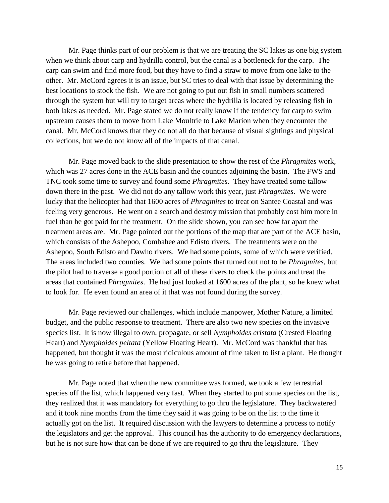Mr. Page thinks part of our problem is that we are treating the SC lakes as one big system when we think about carp and hydrilla control, but the canal is a bottleneck for the carp. The carp can swim and find more food, but they have to find a straw to move from one lake to the other. Mr. McCord agrees it is an issue, but SC tries to deal with that issue by determining the best locations to stock the fish. We are not going to put out fish in small numbers scattered through the system but will try to target areas where the hydrilla is located by releasing fish in both lakes as needed. Mr. Page stated we do not really know if the tendency for carp to swim upstream causes them to move from Lake Moultrie to Lake Marion when they encounter the canal. Mr. McCord knows that they do not all do that because of visual sightings and physical collections, but we do not know all of the impacts of that canal.

Mr. Page moved back to the slide presentation to show the rest of the *Phragmites* work, which was 27 acres done in the ACE basin and the counties adjoining the basin. The FWS and TNC took some time to survey and found some *Phragmites*. They have treated some tallow down there in the past. We did not do any tallow work this year, just *Phragmites*. We were lucky that the helicopter had that 1600 acres of *Phragmites* to treat on Santee Coastal and was feeling very generous. He went on a search and destroy mission that probably cost him more in fuel than he got paid for the treatment. On the slide shown, you can see how far apart the treatment areas are. Mr. Page pointed out the portions of the map that are part of the ACE basin, which consists of the Ashepoo, Combahee and Edisto rivers. The treatments were on the Ashepoo, South Edisto and Dawho rivers. We had some points, some of which were verified. The areas included two counties. We had some points that turned out not to be *Phragmites*, but the pilot had to traverse a good portion of all of these rivers to check the points and treat the areas that contained *Phragmites*. He had just looked at 1600 acres of the plant, so he knew what to look for. He even found an area of it that was not found during the survey.

Mr. Page reviewed our challenges, which include manpower, Mother Nature, a limited budget, and the public response to treatment. There are also two new species on the invasive species list. It is now illegal to own, propagate, or sell *Nymphoides cristata* (Crested Floating Heart) and *Nymphoides peltata* (Yellow Floating Heart). Mr. McCord was thankful that has happened, but thought it was the most ridiculous amount of time taken to list a plant. He thought he was going to retire before that happened.

Mr. Page noted that when the new committee was formed, we took a few terrestrial species off the list, which happened very fast. When they started to put some species on the list, they realized that it was mandatory for everything to go thru the legislature. They backwatered and it took nine months from the time they said it was going to be on the list to the time it actually got on the list. It required discussion with the lawyers to determine a process to notify the legislators and get the approval. This council has the authority to do emergency declarations, but he is not sure how that can be done if we are required to go thru the legislature. They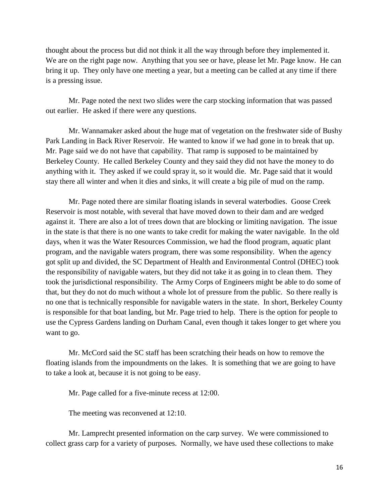thought about the process but did not think it all the way through before they implemented it. We are on the right page now. Anything that you see or have, please let Mr. Page know. He can bring it up. They only have one meeting a year, but a meeting can be called at any time if there is a pressing issue.

Mr. Page noted the next two slides were the carp stocking information that was passed out earlier. He asked if there were any questions.

Mr. Wannamaker asked about the huge mat of vegetation on the freshwater side of Bushy Park Landing in Back River Reservoir. He wanted to know if we had gone in to break that up. Mr. Page said we do not have that capability. That ramp is supposed to be maintained by Berkeley County. He called Berkeley County and they said they did not have the money to do anything with it. They asked if we could spray it, so it would die. Mr. Page said that it would stay there all winter and when it dies and sinks, it will create a big pile of mud on the ramp.

Mr. Page noted there are similar floating islands in several waterbodies. Goose Creek Reservoir is most notable, with several that have moved down to their dam and are wedged against it. There are also a lot of trees down that are blocking or limiting navigation. The issue in the state is that there is no one wants to take credit for making the water navigable. In the old days, when it was the Water Resources Commission, we had the flood program, aquatic plant program, and the navigable waters program, there was some responsibility. When the agency got split up and divided, the SC Department of Health and Environmental Control (DHEC) took the responsibility of navigable waters, but they did not take it as going in to clean them. They took the jurisdictional responsibility. The Army Corps of Engineers might be able to do some of that, but they do not do much without a whole lot of pressure from the public. So there really is no one that is technically responsible for navigable waters in the state. In short, Berkeley County is responsible for that boat landing, but Mr. Page tried to help. There is the option for people to use the Cypress Gardens landing on Durham Canal, even though it takes longer to get where you want to go.

Mr. McCord said the SC staff has been scratching their heads on how to remove the floating islands from the impoundments on the lakes. It is something that we are going to have to take a look at, because it is not going to be easy.

Mr. Page called for a five-minute recess at 12:00.

The meeting was reconvened at 12:10.

Mr. Lamprecht presented information on the carp survey. We were commissioned to collect grass carp for a variety of purposes. Normally, we have used these collections to make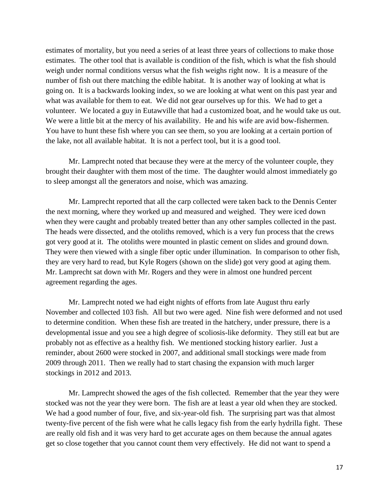estimates of mortality, but you need a series of at least three years of collections to make those estimates. The other tool that is available is condition of the fish, which is what the fish should weigh under normal conditions versus what the fish weighs right now. It is a measure of the number of fish out there matching the edible habitat. It is another way of looking at what is going on. It is a backwards looking index, so we are looking at what went on this past year and what was available for them to eat. We did not gear ourselves up for this. We had to get a volunteer. We located a guy in Eutawville that had a customized boat, and he would take us out. We were a little bit at the mercy of his availability. He and his wife are avid bow-fishermen. You have to hunt these fish where you can see them, so you are looking at a certain portion of the lake, not all available habitat. It is not a perfect tool, but it is a good tool.

Mr. Lamprecht noted that because they were at the mercy of the volunteer couple, they brought their daughter with them most of the time. The daughter would almost immediately go to sleep amongst all the generators and noise, which was amazing.

Mr. Lamprecht reported that all the carp collected were taken back to the Dennis Center the next morning, where they worked up and measured and weighed. They were iced down when they were caught and probably treated better than any other samples collected in the past. The heads were dissected, and the otoliths removed, which is a very fun process that the crews got very good at it. The otoliths were mounted in plastic cement on slides and ground down. They were then viewed with a single fiber optic under illumination. In comparison to other fish, they are very hard to read, but Kyle Rogers (shown on the slide) got very good at aging them. Mr. Lamprecht sat down with Mr. Rogers and they were in almost one hundred percent agreement regarding the ages.

Mr. Lamprecht noted we had eight nights of efforts from late August thru early November and collected 103 fish. All but two were aged. Nine fish were deformed and not used to determine condition. When these fish are treated in the hatchery, under pressure, there is a developmental issue and you see a high degree of scoliosis-like deformity. They still eat but are probably not as effective as a healthy fish. We mentioned stocking history earlier. Just a reminder, about 2600 were stocked in 2007, and additional small stockings were made from 2009 through 2011. Then we really had to start chasing the expansion with much larger stockings in 2012 and 2013.

Mr. Lamprecht showed the ages of the fish collected. Remember that the year they were stocked was not the year they were born. The fish are at least a year old when they are stocked. We had a good number of four, five, and six-year-old fish. The surprising part was that almost twenty-five percent of the fish were what he calls legacy fish from the early hydrilla fight. These are really old fish and it was very hard to get accurate ages on them because the annual agates get so close together that you cannot count them very effectively. He did not want to spend a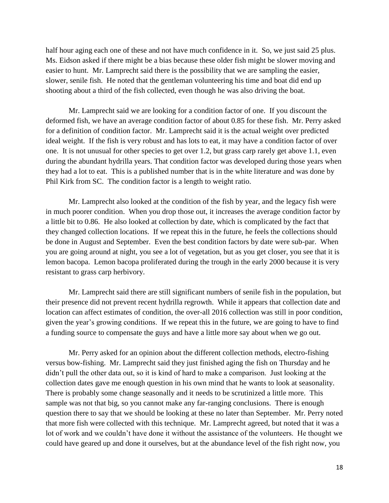half hour aging each one of these and not have much confidence in it. So, we just said 25 plus. Ms. Eidson asked if there might be a bias because these older fish might be slower moving and easier to hunt. Mr. Lamprecht said there is the possibility that we are sampling the easier, slower, senile fish. He noted that the gentleman volunteering his time and boat did end up shooting about a third of the fish collected, even though he was also driving the boat.

Mr. Lamprecht said we are looking for a condition factor of one. If you discount the deformed fish, we have an average condition factor of about 0.85 for these fish. Mr. Perry asked for a definition of condition factor. Mr. Lamprecht said it is the actual weight over predicted ideal weight. If the fish is very robust and has lots to eat, it may have a condition factor of over one. It is not unusual for other species to get over 1.2, but grass carp rarely get above 1.1, even during the abundant hydrilla years. That condition factor was developed during those years when they had a lot to eat. This is a published number that is in the white literature and was done by Phil Kirk from SC. The condition factor is a length to weight ratio.

Mr. Lamprecht also looked at the condition of the fish by year, and the legacy fish were in much poorer condition. When you drop those out, it increases the average condition factor by a little bit to 0.86. He also looked at collection by date, which is complicated by the fact that they changed collection locations. If we repeat this in the future, he feels the collections should be done in August and September. Even the best condition factors by date were sub-par. When you are going around at night, you see a lot of vegetation, but as you get closer, you see that it is lemon bacopa. Lemon bacopa proliferated during the trough in the early 2000 because it is very resistant to grass carp herbivory.

Mr. Lamprecht said there are still significant numbers of senile fish in the population, but their presence did not prevent recent hydrilla regrowth. While it appears that collection date and location can affect estimates of condition, the over-all 2016 collection was still in poor condition, given the year's growing conditions. If we repeat this in the future, we are going to have to find a funding source to compensate the guys and have a little more say about when we go out.

Mr. Perry asked for an opinion about the different collection methods, electro-fishing versus bow-fishing. Mr. Lamprecht said they just finished aging the fish on Thursday and he didn't pull the other data out, so it is kind of hard to make a comparison. Just looking at the collection dates gave me enough question in his own mind that he wants to look at seasonality. There is probably some change seasonally and it needs to be scrutinized a little more. This sample was not that big, so you cannot make any far-ranging conclusions. There is enough question there to say that we should be looking at these no later than September. Mr. Perry noted that more fish were collected with this technique. Mr. Lamprecht agreed, but noted that it was a lot of work and we couldn't have done it without the assistance of the volunteers. He thought we could have geared up and done it ourselves, but at the abundance level of the fish right now, you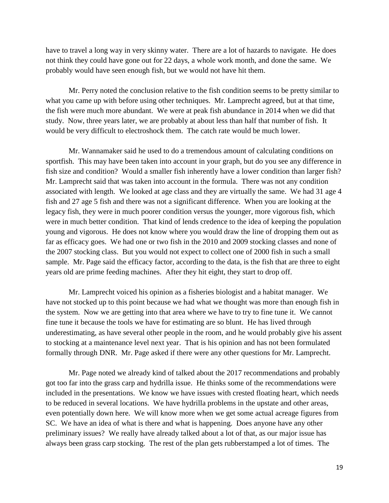have to travel a long way in very skinny water. There are a lot of hazards to navigate. He does not think they could have gone out for 22 days, a whole work month, and done the same. We probably would have seen enough fish, but we would not have hit them.

Mr. Perry noted the conclusion relative to the fish condition seems to be pretty similar to what you came up with before using other techniques. Mr. Lamprecht agreed, but at that time, the fish were much more abundant. We were at peak fish abundance in 2014 when we did that study. Now, three years later, we are probably at about less than half that number of fish. It would be very difficult to electroshock them. The catch rate would be much lower.

Mr. Wannamaker said he used to do a tremendous amount of calculating conditions on sportfish. This may have been taken into account in your graph, but do you see any difference in fish size and condition? Would a smaller fish inherently have a lower condition than larger fish? Mr. Lamprecht said that was taken into account in the formula. There was not any condition associated with length. We looked at age class and they are virtually the same. We had 31 age 4 fish and 27 age 5 fish and there was not a significant difference. When you are looking at the legacy fish, they were in much poorer condition versus the younger, more vigorous fish, which were in much better condition. That kind of lends credence to the idea of keeping the population young and vigorous. He does not know where you would draw the line of dropping them out as far as efficacy goes. We had one or two fish in the 2010 and 2009 stocking classes and none of the 2007 stocking class. But you would not expect to collect one of 2000 fish in such a small sample. Mr. Page said the efficacy factor, according to the data, is the fish that are three to eight years old are prime feeding machines. After they hit eight, they start to drop off.

Mr. Lamprecht voiced his opinion as a fisheries biologist and a habitat manager. We have not stocked up to this point because we had what we thought was more than enough fish in the system. Now we are getting into that area where we have to try to fine tune it. We cannot fine tune it because the tools we have for estimating are so blunt. He has lived through underestimating, as have several other people in the room, and he would probably give his assent to stocking at a maintenance level next year. That is his opinion and has not been formulated formally through DNR. Mr. Page asked if there were any other questions for Mr. Lamprecht.

Mr. Page noted we already kind of talked about the 2017 recommendations and probably got too far into the grass carp and hydrilla issue. He thinks some of the recommendations were included in the presentations. We know we have issues with crested floating heart, which needs to be reduced in several locations. We have hydrilla problems in the upstate and other areas, even potentially down here. We will know more when we get some actual acreage figures from SC. We have an idea of what is there and what is happening. Does anyone have any other preliminary issues? We really have already talked about a lot of that, as our major issue has always been grass carp stocking. The rest of the plan gets rubberstamped a lot of times. The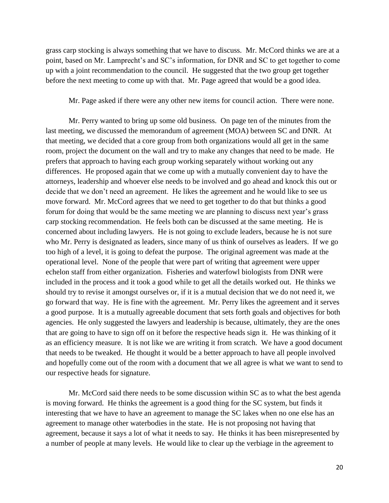grass carp stocking is always something that we have to discuss. Mr. McCord thinks we are at a point, based on Mr. Lamprecht's and SC's information, for DNR and SC to get together to come up with a joint recommendation to the council. He suggested that the two group get together before the next meeting to come up with that. Mr. Page agreed that would be a good idea.

Mr. Page asked if there were any other new items for council action. There were none.

Mr. Perry wanted to bring up some old business. On page ten of the minutes from the last meeting, we discussed the memorandum of agreement (MOA) between SC and DNR. At that meeting, we decided that a core group from both organizations would all get in the same room, project the document on the wall and try to make any changes that need to be made. He prefers that approach to having each group working separately without working out any differences. He proposed again that we come up with a mutually convenient day to have the attorneys, leadership and whoever else needs to be involved and go ahead and knock this out or decide that we don't need an agreement. He likes the agreement and he would like to see us move forward. Mr. McCord agrees that we need to get together to do that but thinks a good forum for doing that would be the same meeting we are planning to discuss next year's grass carp stocking recommendation. He feels both can be discussed at the same meeting. He is concerned about including lawyers. He is not going to exclude leaders, because he is not sure who Mr. Perry is designated as leaders, since many of us think of ourselves as leaders. If we go too high of a level, it is going to defeat the purpose. The original agreement was made at the operational level. None of the people that were part of writing that agreement were upper echelon staff from either organization. Fisheries and waterfowl biologists from DNR were included in the process and it took a good while to get all the details worked out. He thinks we should try to revise it amongst ourselves or, if it is a mutual decision that we do not need it, we go forward that way. He is fine with the agreement. Mr. Perry likes the agreement and it serves a good purpose. It is a mutually agreeable document that sets forth goals and objectives for both agencies. He only suggested the lawyers and leadership is because, ultimately, they are the ones that are going to have to sign off on it before the respective heads sign it. He was thinking of it as an efficiency measure. It is not like we are writing it from scratch. We have a good document that needs to be tweaked. He thought it would be a better approach to have all people involved and hopefully come out of the room with a document that we all agree is what we want to send to our respective heads for signature.

Mr. McCord said there needs to be some discussion within SC as to what the best agenda is moving forward. He thinks the agreement is a good thing for the SC system, but finds it interesting that we have to have an agreement to manage the SC lakes when no one else has an agreement to manage other waterbodies in the state. He is not proposing not having that agreement, because it says a lot of what it needs to say. He thinks it has been misrepresented by a number of people at many levels. He would like to clear up the verbiage in the agreement to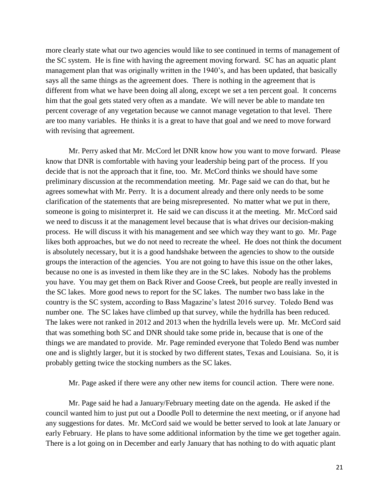more clearly state what our two agencies would like to see continued in terms of management of the SC system. He is fine with having the agreement moving forward. SC has an aquatic plant management plan that was originally written in the 1940's, and has been updated, that basically says all the same things as the agreement does. There is nothing in the agreement that is different from what we have been doing all along, except we set a ten percent goal. It concerns him that the goal gets stated very often as a mandate. We will never be able to mandate ten percent coverage of any vegetation because we cannot manage vegetation to that level. There are too many variables. He thinks it is a great to have that goal and we need to move forward with revising that agreement.

Mr. Perry asked that Mr. McCord let DNR know how you want to move forward. Please know that DNR is comfortable with having your leadership being part of the process. If you decide that is not the approach that it fine, too. Mr. McCord thinks we should have some preliminary discussion at the recommendation meeting. Mr. Page said we can do that, but he agrees somewhat with Mr. Perry. It is a document already and there only needs to be some clarification of the statements that are being misrepresented. No matter what we put in there, someone is going to misinterpret it. He said we can discuss it at the meeting. Mr. McCord said we need to discuss it at the management level because that is what drives our decision-making process. He will discuss it with his management and see which way they want to go. Mr. Page likes both approaches, but we do not need to recreate the wheel. He does not think the document is absolutely necessary, but it is a good handshake between the agencies to show to the outside groups the interaction of the agencies. You are not going to have this issue on the other lakes, because no one is as invested in them like they are in the SC lakes. Nobody has the problems you have. You may get them on Back River and Goose Creek, but people are really invested in the SC lakes. More good news to report for the SC lakes. The number two bass lake in the country is the SC system, according to Bass Magazine's latest 2016 survey. Toledo Bend was number one. The SC lakes have climbed up that survey, while the hydrilla has been reduced. The lakes were not ranked in 2012 and 2013 when the hydrilla levels were up. Mr. McCord said that was something both SC and DNR should take some pride in, because that is one of the things we are mandated to provide. Mr. Page reminded everyone that Toledo Bend was number one and is slightly larger, but it is stocked by two different states, Texas and Louisiana. So, it is probably getting twice the stocking numbers as the SC lakes.

Mr. Page asked if there were any other new items for council action. There were none.

Mr. Page said he had a January/February meeting date on the agenda. He asked if the council wanted him to just put out a Doodle Poll to determine the next meeting, or if anyone had any suggestions for dates. Mr. McCord said we would be better served to look at late January or early February. He plans to have some additional information by the time we get together again. There is a lot going on in December and early January that has nothing to do with aquatic plant